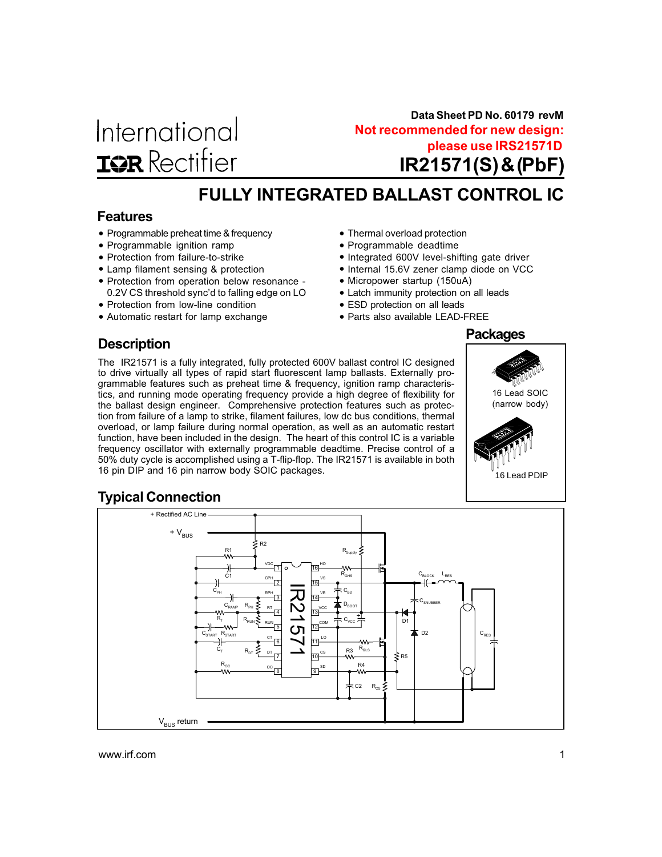

IR21571(S) & (PbF) **Not recommended for new design: please use IRS21571D Data Sheet PD No. 60179 revM**

# FULLY INTEGRATED BALLAST CONTROL IC

### Features

- Programmable preheat time & frequency
- Programmable ignition ramp
- Protection from failure-to-strike
- Lamp filament sensing & protection
- Protection from operation below resonance 0.2V CS threshold sync'd to falling edge on LO
- Protection from low-line condition
- Automatic restart for lamp exchange
- Thermal overload protection
- Programmable deadtime
- Integrated 600V level-shifting gate driver
- Internal 15.6V zener clamp diode on VCC
- Micropower startup (150uA)
- Latch immunity protection on all leads
- ESD protection on all leads
- Parts also available LEAD-FREE

### **Description**

The IR21571 is a fully integrated, fully protected 600V ballast control IC designed to drive virtually all types of rapid start fluorescent lamp ballasts. Externally programmable features such as preheat time & frequency, ignition ramp characteristics, and running mode operating frequency provide a high degree of flexibility for the ballast design engineer. Comprehensive protection features such as protection from failure of a lamp to strike, filament failures, low dc bus conditions, thermal overload, or lamp failure during normal operation, as well as an automatic restart function, have been included in the design. The heart of this control IC is a variable frequency oscillator with externally programmable deadtime. Precise control of a 50% duty cycle is accomplished using a T-flip-flop. The IR21571 is available in both 16 pin DIP and 16 pin narrow body SOIC packages.



### Typical Connection

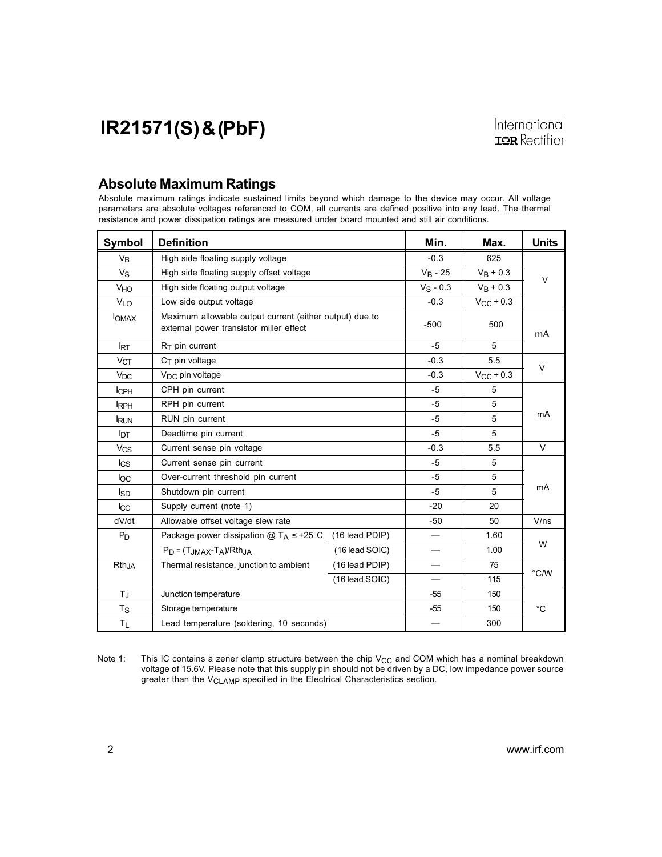### Absolute Maximum Ratings

Absolute maximum ratings indicate sustained limits beyond which damage to the device may occur. All voltage parameters are absolute voltages referenced to COM, all currents are defined positive into any lead. The thermal resistance and power dissipation ratings are measured under board mounted and still air conditions.

| Symbol                | <b>Definition</b>                                                                                  | Min.             | Max.                          | <b>Units</b>       |               |
|-----------------------|----------------------------------------------------------------------------------------------------|------------------|-------------------------------|--------------------|---------------|
| V <sub>B</sub>        | High side floating supply voltage                                                                  |                  | $-0.3$                        | 625                |               |
| $V_{S}$               | High side floating supply offset voltage                                                           |                  | $V_B - 25$                    | $V_B + 0.3$        | V             |
| VHO                   | High side floating output voltage                                                                  |                  | $V_S - 0.3$                   | $V_B + 0.3$        |               |
| <b>VLO</b>            | Low side output voltage                                                                            |                  | $-0.3$                        | $V_{\rm CC}$ + 0.3 |               |
| <b>I</b> OMAX         | Maximum allowable output current (either output) due to<br>external power transistor miller effect |                  | $-500$                        | 500                | mA            |
| <b>IRT</b>            | $R_T$ pin current                                                                                  |                  | $-5$                          | 5                  |               |
| V <sub>CT</sub>       | $C_T$ pin voltage                                                                                  |                  | $-0.3$                        | 5.5                | V             |
| $V_{DC}$              | V <sub>DC</sub> pin voltage                                                                        |                  | $-0.3$                        | $V_{CC}$ + 0.3     |               |
| <b>ICPH</b>           | CPH pin current                                                                                    |                  | $-5$                          | 5                  |               |
| <b>IRPH</b>           | RPH pin current                                                                                    | $-5$             | 5                             |                    |               |
| <b>RUN</b>            | RUN pin current                                                                                    | $-5$             | 5                             | mA                 |               |
| <b>I</b> DT           | Deadtime pin current                                                                               | $-5$             | 5                             |                    |               |
| <b>V<sub>CS</sub></b> | Current sense pin voltage                                                                          | $-0.3$           | 5.5                           | $\vee$             |               |
| $_{\text{lcs}}$       | Current sense pin current                                                                          | $-5$             | 5                             |                    |               |
| loc                   | Over-current threshold pin current                                                                 | $-5$             | 5                             |                    |               |
| <b>I</b> SD           | Shutdown pin current                                                                               | $-5$             | 5                             | mA                 |               |
| $_{\text{LCC}}$       | Supply current (note 1)                                                                            |                  | $-20$                         | 20                 |               |
| dV/dt                 | Allowable offset voltage slew rate                                                                 |                  | $-50$                         | 50                 | V/ns          |
| $P_D$                 | Package power dissipation $@T_A \leq +25°C$                                                        | (16 lead PDIP)   |                               | 1.60               |               |
|                       | $P_D = (T_{JMAX} - T_A)/R$ th <sub>JA</sub>                                                        | (16 lead SOIC)   |                               | 1.00               | W             |
| $Rth_{,IA}$           | Thermal resistance, junction to ambient                                                            | (16 lead PDIP)   | $\overbrace{\phantom{13333}}$ | 75                 |               |
|                       |                                                                                                    | $(16$ lead SOIC) |                               | 115                | $\degree$ C/W |
| ТJ                    | Junction temperature                                                                               |                  | -55                           | 150                |               |
| $T_{\rm S}$           | Storage temperature                                                                                |                  | $-55$                         | 150                | °C            |
| ΤL                    | Lead temperature (soldering, 10 seconds)                                                           |                  | 300                           |                    |               |

Note 1: This IC contains a zener clamp structure between the chip  $V_{CC}$  and COM which has a nominal breakdown voltage of 15.6V. Please note that this supply pin should not be driven by a DC, low impedance power source greater than the V<sub>CLAMP</sub> specified in the Electrical Characteristics section.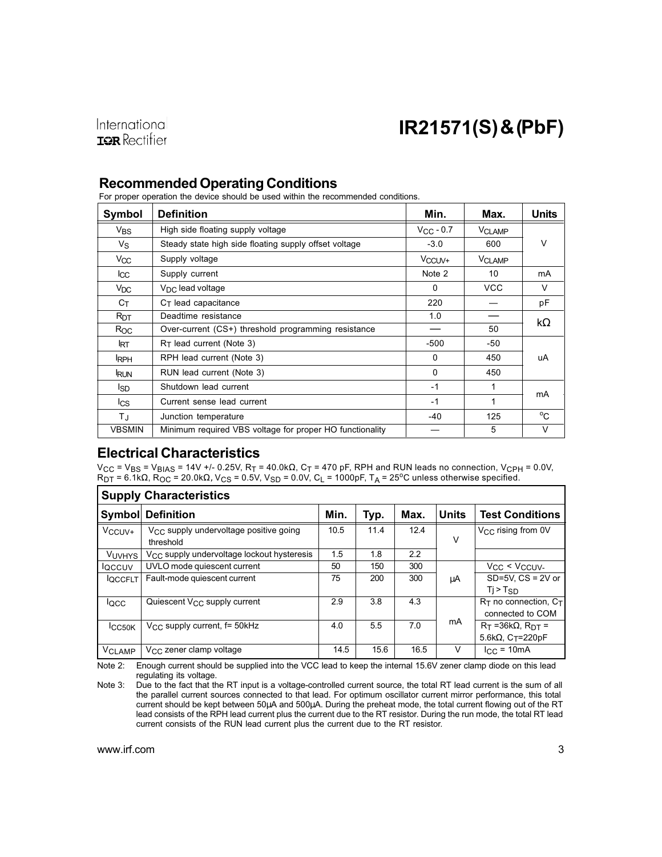

### Recommended Operating Conditions

For proper operation the device should be used within the recommended conditions.

| Symbol          | <b>Definition</b>                                        | Min.               | Max.          | Units        |
|-----------------|----------------------------------------------------------|--------------------|---------------|--------------|
| V <sub>BS</sub> | High side floating supply voltage                        | $V_{\rm CC}$ - 0.7 | <b>VCLAMP</b> |              |
| Vs              | Steady state high side floating supply offset voltage    | $-3.0$             | 600           | $\vee$       |
| V <sub>CC</sub> | Supply voltage                                           | V <sub>CCUV+</sub> | <b>VCLAMP</b> |              |
| lcc             | Supply current                                           | Note 2             | 10            | mA           |
| $V_{\text{DC}}$ | $V_{\text{DC}}$ lead voltage                             | $\Omega$           | <b>VCC</b>    | V            |
| Cт              | $CT$ lead capacitance                                    | 220                |               | pF           |
| R <sub>DT</sub> | Deadtime resistance                                      | 1.0                |               | $k\Omega$    |
| $R_{OC}$        | Over-current (CS+) threshold programming resistance      | __                 | 50            |              |
| <b>IRT</b>      | $R_T$ lead current (Note 3)                              | $-500$             | -50           |              |
| <b>IRPH</b>     | RPH lead current (Note 3)                                | $\Omega$           | 450           | uA           |
| <b>RUN</b>      | RUN lead current (Note 3)                                | $\Omega$           | 450           |              |
| Isp             | Shutdown lead current                                    | $-1$               | 1             |              |
| lcs             | Current sense lead current                               | $-1$               | 1             | mA           |
| ΤJ              | Junction temperature                                     | $-40$              | 125           | $^{\circ}$ C |
| <b>VBSMIN</b>   | Minimum required VBS voltage for proper HO functionality |                    | 5             | $\vee$       |

### Electrical Characteristics

V<sub>CC</sub> = V<sub>BS</sub> = V<sub>BIAS</sub> = 14V +/- 0.25V, R<sub>T</sub> = 40.0kΩ, C<sub>T</sub> = 470 pF, RPH and RUN leads no connection, V<sub>CPH</sub> = 0.0V,<br>R<sub>DT</sub> = 6.1kΩ, R<sub>OC</sub> = 20.0kΩ, V<sub>CS</sub> = 0.5V, V<sub>SD</sub> = 0.0V, C<sub>L</sub> = 1000pF, T<sub>A</sub> = 25ºC unless otherwise

|                          | <b>Supply Characteristics</b>                                   |      |      |      |              |                                                |  |  |
|--------------------------|-----------------------------------------------------------------|------|------|------|--------------|------------------------------------------------|--|--|
|                          | <b>Symbol Definition</b>                                        | Min. | Typ. | Max. | <b>Units</b> | Test Conditions                                |  |  |
| V <sub>CCUV</sub> +      | V <sub>CC</sub> supply undervoltage positive going<br>threshold | 10.5 | 11.4 | 12.4 | ν            | V <sub>CC</sub> rising from 0V                 |  |  |
| <b>VUVHYS</b>            | V <sub>CC</sub> supply undervoltage lockout hysteresis          | 1.5  | 1.8  | 2.2  |              |                                                |  |  |
| <b>IQCCUV</b>            | UVLO mode quiescent current                                     | 50   | 150  | 300  |              | $V_{CC}$ < $V_{CCUV}$                          |  |  |
| <b>IQCCFLT</b>           | Fault-mode quiescent current                                    | 75   | 200  | 300  | μA           | $SD=5V$ . $CS = 2V$ or<br>$Tj > T_{SD}$        |  |  |
| locc.                    | Quiescent V <sub>CC</sub> supply current                        | 2.9  | 3.8  | 4.3  |              | $R_T$ no connection, $C_T$<br>connected to COM |  |  |
| <b>ICC50K</b>            | V <sub>CC</sub> supply current, f= 50kHz                        | 4.0  | 5.5  | 7.0  | mA           | $R_T = 36k\Omega$ , $R_{DT} =$                 |  |  |
|                          |                                                                 |      |      |      |              | 5.6k $\Omega$ , C $T = 220pF$                  |  |  |
| <b>V<sub>CLAMP</sub></b> | $V_{\rm CC}$ zener clamp voltage                                | 14.5 | 15.6 | 16.5 | V            | $I_{\rm CC}$ = 10mA                            |  |  |

Note 2: Enough current should be supplied into the VCC lead to keep the internal 15.6V zener clamp diode on this lead regulating its voltage.

Note 3: Due to the fact that the RT input is a voltage-controlled current source, the total RT lead current is the sum of all the parallel current sources connected to that lead. For optimum oscillator current mirror performance, this total current should be kept between 50µA and 500µA. During the preheat mode, the total current flowing out of the RT lead consists of the RPH lead current plus the current due to the RT resistor. During the run mode, the total RT lead current consists of the RUN lead current plus the current due to the RT resistor.

٦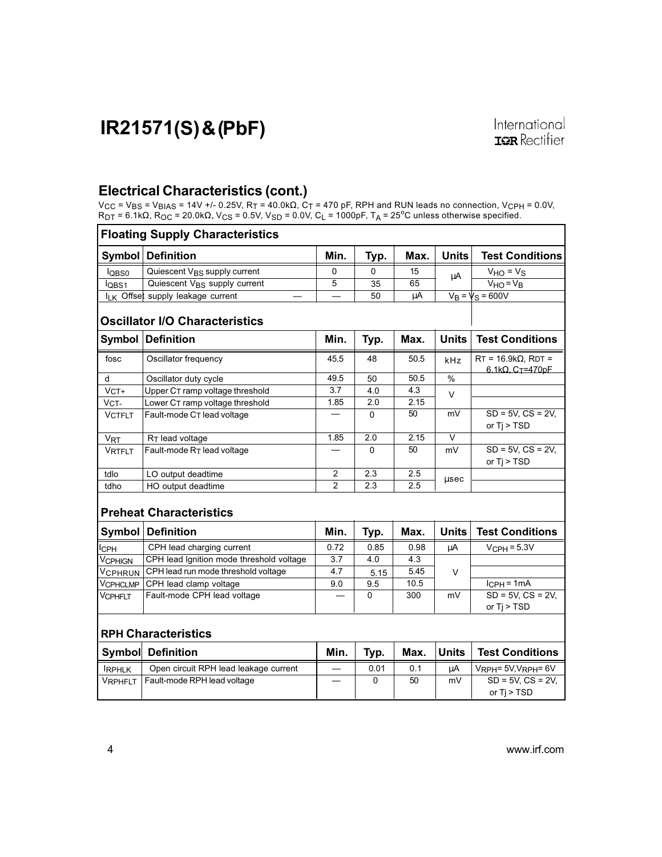### Electrical Characteristics (cont.)

V<sub>CC</sub> = V<sub>BS</sub> = V<sub>BIAS</sub> = 14V +/- 0.25V, R<sub>T</sub> = 40.0kΩ, C<sub>T</sub> = 470 pF, RPH and RUN leads no connection, V<sub>CPH</sub> = 0.0V,<br>R<sub>DT</sub> = 6.1kΩ, R<sub>OC</sub> = 20.0kΩ, V<sub>CS</sub> = 0.5V, V<sub>SD</sub> = 0.0V, C<sub>L</sub> = 1000pF, T<sub>A</sub> = 25ºC unless otherwise

|                       | <b>Floating Supply Characteristics</b>                     |                |                  |                  |              |                                                                     |  |
|-----------------------|------------------------------------------------------------|----------------|------------------|------------------|--------------|---------------------------------------------------------------------|--|
| Symbol                | <b>Definition</b>                                          | Min.           | Typ.             | Max.             | <b>Units</b> | <b>Test Conditions</b>                                              |  |
| log <sub>0</sub>      | Quiescent V <sub>BS</sub> supply current                   | 0              | 0                | 15               | μA           | $V_{HO} = V_S$                                                      |  |
| lQBS1                 | Quiescent V <sub>BS</sub> supply current                   | 5              | 35               | 65               |              | $VHO = VB$                                                          |  |
|                       | I <sub>LK</sub> Offset supply leakage current              |                | 50               | μA               |              | $V_B = V_S = 600V$                                                  |  |
|                       | <b>Oscillator I/O Characteristics</b><br>Symbol Definition | Min.           |                  | Max.             | <b>Units</b> | <b>Test Conditions</b>                                              |  |
|                       |                                                            |                | Typ.             |                  |              |                                                                     |  |
| fosc                  | Oscillator frequency                                       | 45.5           | 48               | 50.5             | kHz          | $RT = 16.9k\Omega$ , RDT =<br>6.1k $\Omega$ , C <sub>T</sub> =470pF |  |
| d                     | Oscillator duty cycle                                      | 49.5           | 50               | 50.5             | $\%$         |                                                                     |  |
| $VCT+$                | Upper CT ramp voltage threshold                            | 3.7            | 4.0              | 4.3              | $\vee$       |                                                                     |  |
| VCT-                  | Lower CT ramp voltage threshold                            | 1.85           | 2.0              | 2.15             |              |                                                                     |  |
| <b>VCTFLT</b>         | Fault-mode C <sub>T</sub> lead voltage                     |                | $\Omega$         | 50               | mV           | $SD = 5V$ , $CS = 2V$ ,<br>or $Ti > TSD$                            |  |
| <b>V<sub>RT</sub></b> | R <sub>T</sub> lead voltage                                | 1.85           | $\overline{2.0}$ | 2.15             | V            |                                                                     |  |
| <b>VRTFLT</b>         | Fault-mode RT lead voltage                                 |                | $\Omega$         | 50               | mV           | $SD = 5V$ , $CS = 2V$ ,<br>or $Ti > TSD$                            |  |
| tdlo                  | LO output deadtime                                         | $\overline{2}$ | $\overline{2.3}$ | 2.5              |              |                                                                     |  |
| tdho                  | HO output deadtime                                         | $\overline{2}$ | 2.3              | 2.5              | usec         |                                                                     |  |
|                       | <b>Preheat Characteristics</b>                             |                |                  |                  |              |                                                                     |  |
| Symbol                | <b>Definition</b>                                          | Min.           | Typ.             | Max.             | <b>Units</b> | <b>Test Conditions</b>                                              |  |
| Iсрн                  | CPH lead charging current                                  | 0.72           | 0.85             | 0.98             | μA           | $V_{\text{CPH}} = 5.3V$                                             |  |
| VCPHIGN               | CPH lead Ignition mode threshold voltage                   | 3.7            | 4.0              | $\overline{4.3}$ |              |                                                                     |  |
| Vcphrun               | CPH lead run mode threshold voltage                        | 4.7            | 5.15             | 5.45             | $\vee$       |                                                                     |  |
| Vcphclmp              | CPH lead clamp voltage                                     | 9.0            | 9.5              | 10.5             |              | $I_{\text{CPH}} = 1 \text{mA}$                                      |  |
| Vcphflt               | Fault-mode CPH lead voltage                                |                | 0                | 300              | mV           | $SD = 5V$ , $CS = 2V$ ,                                             |  |
|                       |                                                            |                |                  |                  |              | or Tj > TSD                                                         |  |
|                       | <b>RPH Characteristics</b>                                 |                |                  |                  |              |                                                                     |  |
|                       | <b>Symbol Definition</b>                                   | Min.           | Typ.             | Max.             | <b>Units</b> | <b>Test Conditions</b>                                              |  |
| <b>IRPHLK</b>         | Open circuit RPH lead leakage current                      |                | 0.01             | 0.1              | μA           | $V_{RPH} = 5V$ , $V_{RPH} = 6V$                                     |  |
| VRPHFLT               | Fault-mode RPH lead voltage                                |                | 0                | 50               | mV           | $SD = 5V, CS = 2V,$                                                 |  |
|                       |                                                            |                |                  |                  |              | or Tj > TSD                                                         |  |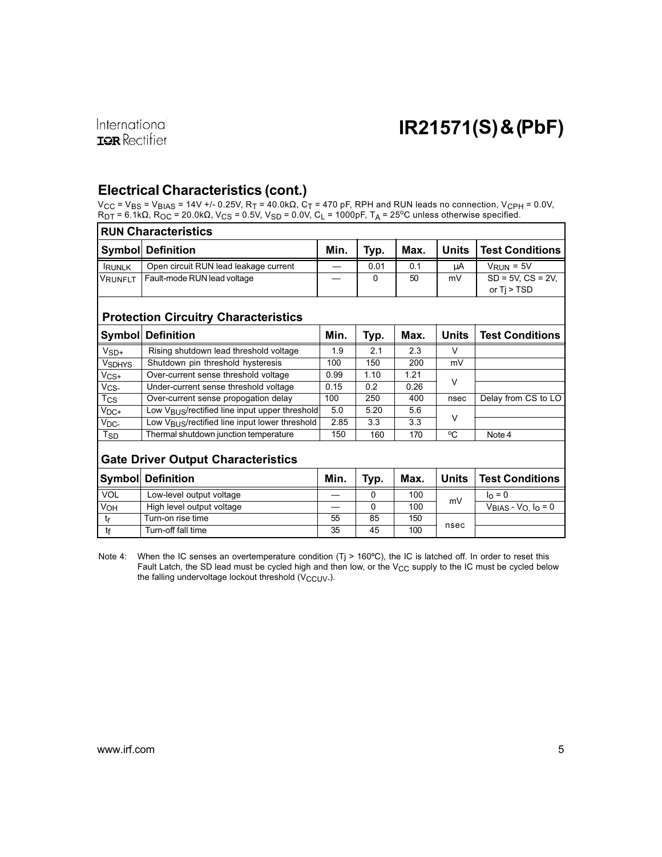### International **ISR** Rectifier

# IR21571(S) & (PbF)

### Electrical Characteristics (cont.)

V<sub>CC</sub> = V<sub>BS</sub> = V<sub>BIAS</sub> = 14V +/- 0.25V, R<sub>T</sub> = 40.0kΩ, C<sub>T</sub> = 470 pF, RPH and RUN leads no connection, V<sub>CPH</sub> = 0.0V,<br>R<sub>DT</sub> = 6.1kΩ, R<sub>OC</sub> = 20.0kΩ, V<sub>CS</sub> = 0.5V, V<sub>SD</sub> = 0.0V, C<sub>L</sub> = 1000pF, T<sub>A</sub> = 25<sup>o</sup>C unless otherwi

|                | <b>RUN Characteristics</b>            |      |      |      |       |                         |  |  |
|----------------|---------------------------------------|------|------|------|-------|-------------------------|--|--|
|                | Symbol  Definition                    | Min. | Tvp. | Max. | Units | <b>Test Conditions</b>  |  |  |
| <b>RUNLK</b>   | Open circuit RUN lead leakage current |      | 0.01 | 0.1  | uA    | $V_{RIM} = 5V$          |  |  |
| <b>VRUNFLT</b> | Fault-mode RUN lead voltage           |      |      | 50   | mV    | $SD = 5V$ , $CS = 2V$ . |  |  |
|                |                                       |      |      |      |       | or Ti > TSD             |  |  |

#### Protection Circuitry Characteristics

|                          | ∣Symbol∣ Definition                                        | Min. | Typ. | Max. | <b>Units</b> | <b>Test Conditions</b> |
|--------------------------|------------------------------------------------------------|------|------|------|--------------|------------------------|
| $V_{SD+}$                | Rising shutdown lead threshold voltage                     | 1.9  | 2.1  | 2.3  |              |                        |
| <b>V<sub>SDHYS</sub></b> | Shutdown pin threshold hysteresis                          | 100  | 150  | 200  | mV           |                        |
| $V_{CS+}$                | Over-current sense threshold voltage                       | 0.99 | 1.10 | 1.21 |              |                        |
| $V_{CS}$                 | Under-current sense threshold voltage                      | 0.15 | 0.2  | 0.26 | ν            |                        |
| Tcs                      | Over-current sense propogation delay                       | 100  | 250  | 400  | nsec         | Delay from CS to LO    |
| $V_{DC+}$                | Low V <sub>BUS</sub> /rectified line input upper threshold | 5.0  | 5.20 | 5.6  |              |                        |
| V <sub>DC</sub>          | Low V <sub>BUS</sub> /rectified line input lower threshold | 2.85 | 3.3  | 3.3  | V            |                        |
| T <sub>SD</sub>          | Thermal shutdown junction temperature                      | 150  | 160  | 170  | °C           | Note 4                 |
|                          |                                                            |      |      |      |              |                        |

### Gate Driver Output Characteristics

|     | <b>Symbol Definition</b>  | Min. | Tvp. | Max. | <b>Units</b> | ∣ Test Conditions            |
|-----|---------------------------|------|------|------|--------------|------------------------------|
| VOL | Low-level output voltage  |      | 0    | 100  |              | $\ln = 0$                    |
| VOH | High level output voltage |      |      | 100  | mV           | $V_{BIAS} - V_{O} I_{O} = 0$ |
|     | Turn-on rise time         | 55   | 85   | 150  |              |                              |
| tf  | Turn-off fall time        | 35   | 45   | 100  | nsec         |                              |

Note 4: When the IC senses an overtemperature condition  $(Tj > 160^{\circ}C)$ , the IC is latched off. In order to reset this Fault Latch, the SD lead must be cycled high and then low, or the V<sub>CC</sub> supply to the IC must be cycled below the falling undervoltage lockout threshold  $(V_{\text{CCUV}})$ .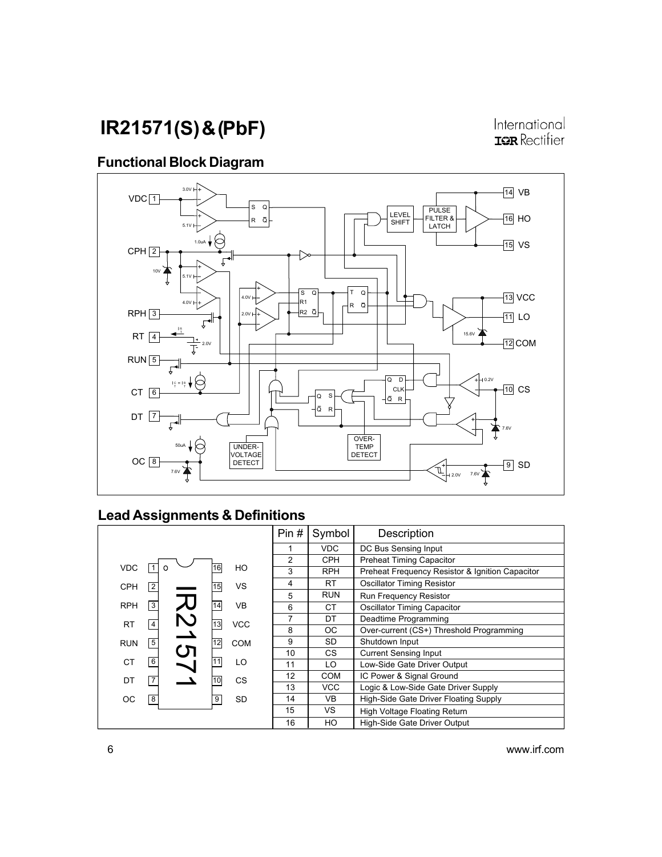International **IOR** Rectifier

## Functional Block Diagram



## Lead Assignments & Definitions

|            |                |                  |    |            | Pin#           | Symbol     | Description                                     |
|------------|----------------|------------------|----|------------|----------------|------------|-------------------------------------------------|
|            |                |                  |    |            |                | <b>VDC</b> | DC Bus Sensing Input                            |
|            |                |                  |    |            | $\overline{c}$ | <b>CPH</b> | <b>Preheat Timing Capacitor</b>                 |
| <b>VDC</b> |                |                  | 16 | HO         | 3              | <b>RPH</b> | Preheat Frequency Resistor & Ignition Capacitor |
| <b>CPH</b> | $\sqrt{2}$     |                  | 15 | <b>VS</b>  | 4              | RT.        | <b>Oscillator Timing Resistor</b>               |
|            |                |                  |    |            | 5              | <b>RUN</b> | <b>Run Frequency Resistor</b>                   |
| <b>RPH</b> | $\sqrt{3}$     |                  | 14 | <b>VB</b>  | 6              | СT         | <b>Oscillator Timing Capacitor</b>              |
| <b>RT</b>  | $\overline{4}$ | $\tilde{\Sigma}$ | 13 | <b>VCC</b> | 7              | DT         | Deadtime Programming                            |
|            |                |                  |    |            | 8              | ОC         | Over-current (CS+) Threshold Programming        |
| <b>RUN</b> | $\overline{5}$ |                  | 12 | <b>COM</b> | 9              | SD         | Shutdown Input                                  |
|            |                | <u>'ਸ</u>        |    |            | 10             | CS.        | <b>Current Sensing Input</b>                    |
| <b>CT</b>  | $\boxed{6}$    |                  | 11 | LO         | 11             | LO         | Low-Side Gate Driver Output                     |
| DT         | $\boxed{7}$    |                  | 10 | CS         | 12             | <b>COM</b> | IC Power & Signal Ground                        |
|            |                |                  |    |            | 13             | <b>VCC</b> | Logic & Low-Side Gate Driver Supply             |
| ОC         | $\overline{8}$ |                  | 9  | SD         | 14             | VB.        | High-Side Gate Driver Floating Supply           |
|            |                |                  |    |            | 15             | VS.        | High Voltage Floating Return                    |
|            |                |                  |    |            | 16             | HO         | High-Side Gate Driver Output                    |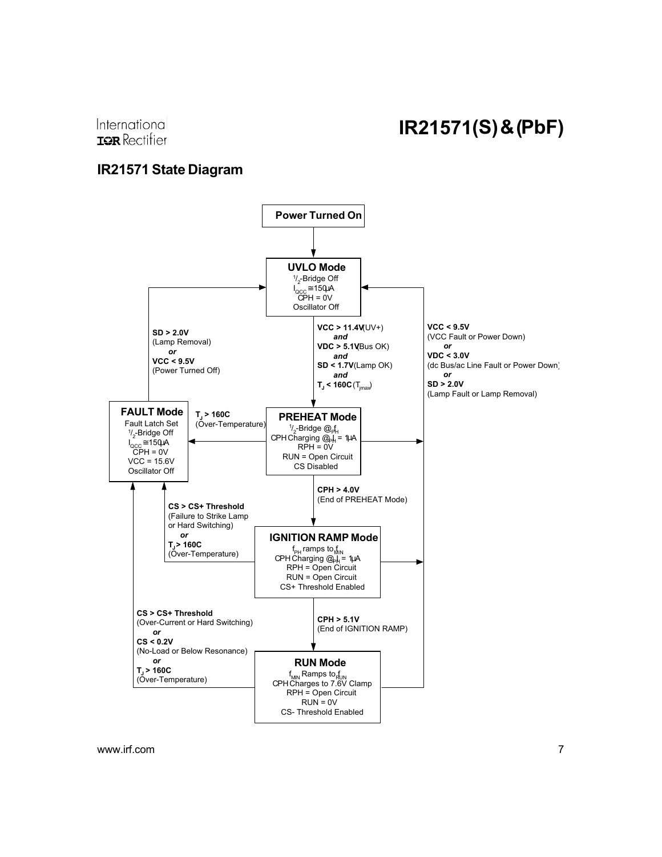International **ISR** Rectifier

### IR21571 State Diagram

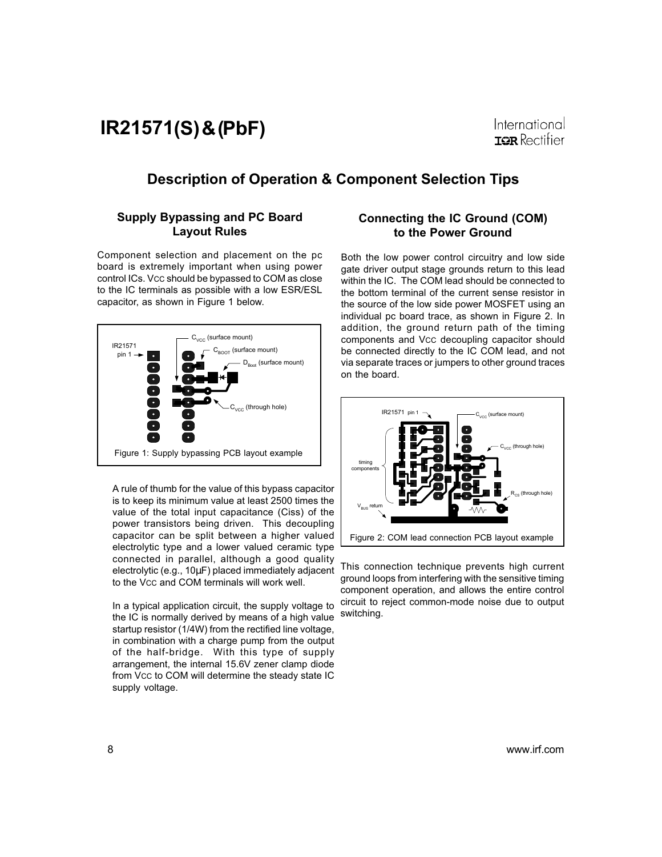International **ISR** Rectifier

### Description of Operation & Component Selection Tips

#### Supply Bypassing and PC Board Layout Rules

Component selection and placement on the pc board is extremely important when using power control ICs. Vcc should be bypassed to COM as close to the IC terminals as possible with a low ESR/ESL capacitor, as shown in Figure 1 below.



A rule of thumb for the value of this bypass capacitor is to keep its minimum value at least 2500 times the value of the total input capacitance (Ciss) of the power transistors being driven. This decoupling capacitor can be split between a higher valued electrolytic type and a lower valued ceramic type connected in parallel, although a good quality electrolytic (e.g., 10µF) placed immediately adjacent to the VCC and COM terminals will work well.

In a typical application circuit, the supply voltage to the IC is normally derived by means of a high value startup resistor (1/4W) from the rectified line voltage, in combination with a charge pump from the output of the half-bridge. With this type of supply arrangement, the internal 15.6V zener clamp diode from VCC to COM will determine the steady state IC supply voltage.

#### Connecting the IC Ground (COM) to the Power Ground

Both the low power control circuitry and low side gate driver output stage grounds return to this lead within the IC. The COM lead should be connected to the bottom terminal of the current sense resistor in the source of the low side power MOSFET using an individual pc board trace, as shown in Figure 2. In addition, the ground return path of the timing components and VCC decoupling capacitor should be connected directly to the IC COM lead, and not via separate traces or jumpers to other ground traces on the board.



This connection technique prevents high current ground loops from interfering with the sensitive timing component operation, and allows the entire control circuit to reject common-mode noise due to output switching.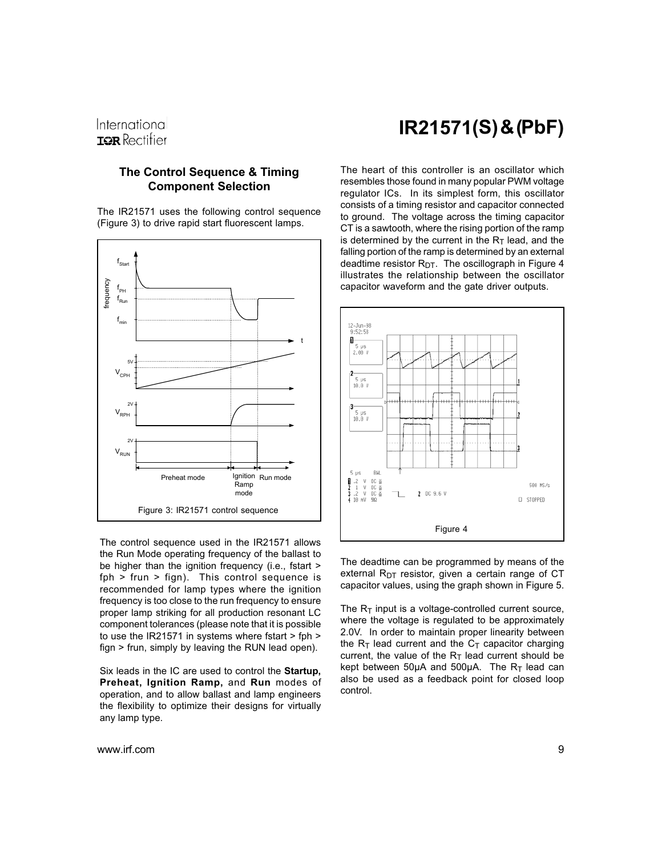#### The Control Sequence & Timing Component Selection

The IR21571 uses the following control sequence (Figure 3) to drive rapid start fluorescent lamps.



The control sequence used in the IR21571 allows the Run Mode operating frequency of the ballast to be higher than the ignition frequency (i.e., fstart > fph > frun > fign). This control sequence is recommended for lamp types where the ignition frequency is too close to the run frequency to ensure proper lamp striking for all production resonant LC component tolerances (please note that it is possible to use the IR21571 in systems where fstart > fph > fign > frun, simply by leaving the RUN lead open).

Six leads in the IC are used to control the Startup, Preheat, Ignition Ramp, and Run modes of operation, and to allow ballast and lamp engineers the flexibility to optimize their designs for virtually any lamp type.

#### www.irf.com 9

# IR21571(S) & (PbF)

The heart of this controller is an oscillator which resembles those found in many popular PWM voltage regulator ICs. In its simplest form, this oscillator consists of a timing resistor and capacitor connected to ground. The voltage across the timing capacitor CT is a sawtooth, where the rising portion of the ramp is determined by the current in the  $R<sub>T</sub>$  lead, and the falling portion of the ramp is determined by an external deadtime resistor R<sub>DT</sub>. The oscillograph in Figure 4 illustrates the relationship between the oscillator capacitor waveform and the gate driver outputs.



The deadtime can be programmed by means of the external  $R<sub>DT</sub>$  resistor, given a certain range of CT capacitor values, using the graph shown in Figure 5.

The  $R_T$  input is a voltage-controlled current source, where the voltage is regulated to be approximately 2.0V. In order to maintain proper linearity between the  $R_T$  lead current and the  $C_T$  capacitor charging current, the value of the  $R<sub>T</sub>$  lead current should be kept between 50 $\mu$ A and 500 $\mu$ A. The R<sub>T</sub> lead can also be used as a feedback point for closed loop control.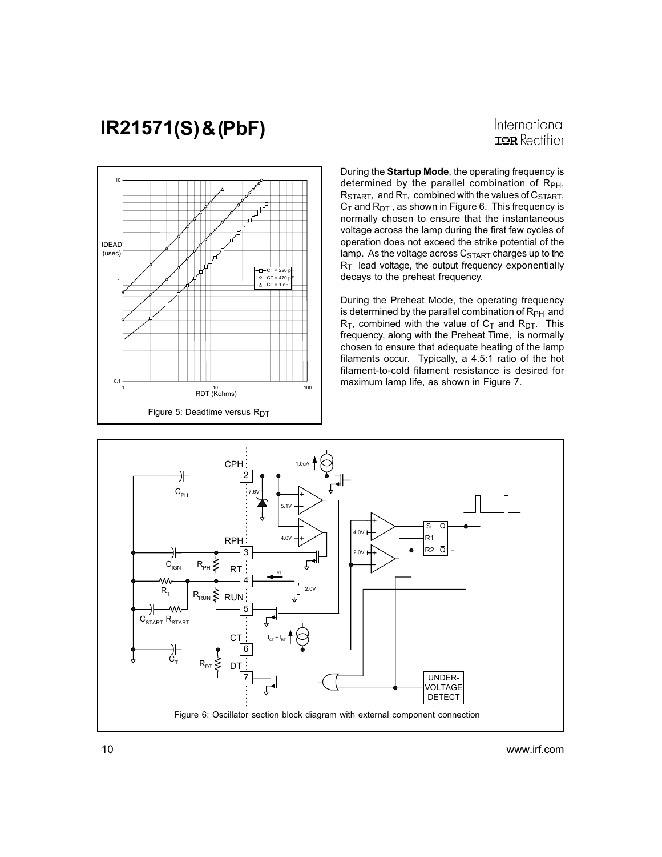International **IOR** Rectifier



During the Startup Mode, the operating frequency is determined by the parallel combination of  $R_{PH}$ ,  $R_{\text{STAT}}$ , and  $R_{\text{T}}$ , combined with the values of  $C_{\text{STAT}}$ ,  $C_T$  and  $R_{DT}$ , as shown in Figure 6. This frequency is normally chosen to ensure that the instantaneous voltage across the lamp during the first few cycles of operation does not exceed the strike potential of the lamp. As the voltage across  $C<sub>STAT</sub>$  charges up to the  $R<sub>T</sub>$  lead voltage, the output frequency exponentially decays to the preheat frequency.

During the Preheat Mode, the operating frequency is determined by the parallel combination of  $R_{PH}$  and  $R_T$ , combined with the value of  $C_T$  and  $R_{DT}$ . This frequency, along with the Preheat Time, is normally chosen to ensure that adequate heating of the lamp filaments occur. Typically, a 4.5:1 ratio of the hot filament-to-cold filament resistance is desired for maximum lamp life, as shown in Figure 7.

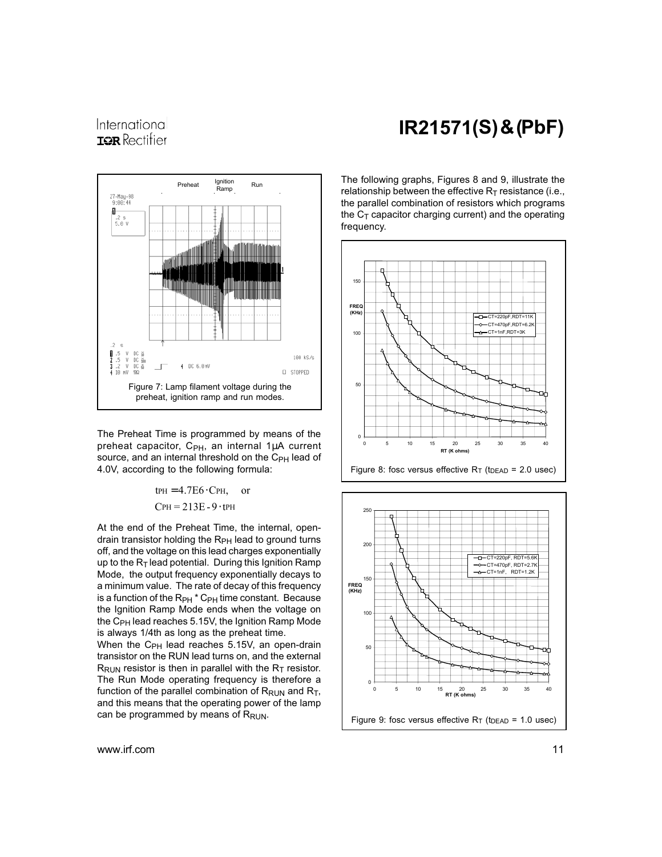International **IOR** Rectifier



The Preheat Time is programmed by means of the preheat capacitor,  $C_{PH}$ , an internal 1µA current source, and an internal threshold on the C<sub>PH</sub> lead of 4.0V, according to the following formula:

> $CPH = 213E - 9 \cdot tPH$  $t$ PH = 4.7E6 $\cdot$ CPH, or

At the end of the Preheat Time, the internal, opendrain transistor holding the R<sub>PH</sub> lead to ground turns off, and the voltage on this lead charges exponentially up to the  $R_T$  lead potential. During this Ignition Ramp Mode, the output frequency exponentially decays to a minimum value. The rate of decay of this frequency is a function of the R<sub>PH</sub> \* C<sub>PH</sub> time constant. Because the Ignition Ramp Mode ends when the voltage on the C<sub>PH</sub> lead reaches 5.15V, the Ignition Ramp Mode is always 1/4th as long as the preheat time.

When the  $C_{PH}$  lead reaches 5.15V, an open-drain transistor on the RUN lead turns on, and the external  $R_{\text{RUN}}$  resistor is then in parallel with the  $R_{\text{T}}$  resistor. The Run Mode operating frequency is therefore a function of the parallel combination of  $R_{\text{RUN}}$  and  $R_{\text{T}}$ , and this means that the operating power of the lamp can be programmed by means of RRUN.

IR21571(S) & (PbF)

The following graphs, Figures 8 and 9, illustrate the relationship between the effective  $R_T$  resistance (i.e., the parallel combination of resistors which programs the  $C_T$  capacitor charging current) and the operating frequency.



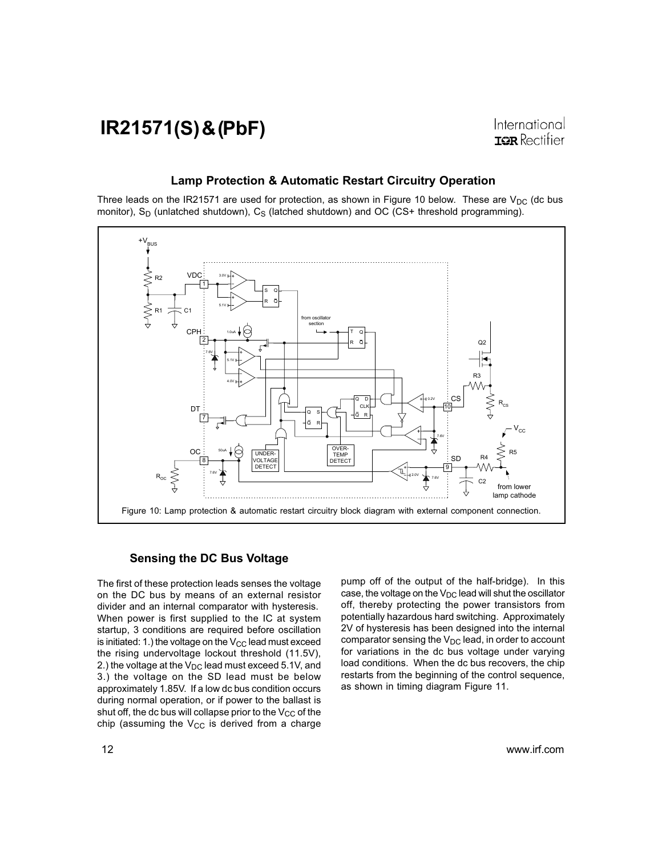#### Lamp Protection & Automatic Restart Circuitry Operation

Three leads on the IR21571 are used for protection, as shown in Figure 10 below. These are  $V_{DC}$  (dc bus monitor),  $S_D$  (unlatched shutdown),  $C_S$  (latched shutdown) and OC (CS+ threshold programming).



#### Sensing the DC Bus Voltage

The first of these protection leads senses the voltage on the DC bus by means of an external resistor divider and an internal comparator with hysteresis. When power is first supplied to the IC at system startup, 3 conditions are required before oscillation is initiated: 1.) the voltage on the  $V_{CC}$  lead must exceed the rising undervoltage lockout threshold (11.5V), 2.) the voltage at the  $V_{DC}$  lead must exceed 5.1V, and 3.) the voltage on the SD lead must be below approximately 1.85V. If a low dc bus condition occurs during normal operation, or if power to the ballast is shut off, the dc bus will collapse prior to the  $V_{CC}$  of the chip (assuming the  $V_{CC}$  is derived from a charge pump off of the output of the half-bridge). In this case, the voltage on the  $V_{DC}$  lead will shut the oscillator off, thereby protecting the power transistors from potentially hazardous hard switching. Approximately 2V of hysteresis has been designed into the internal comparator sensing the  $V_{DC}$  lead, in order to account for variations in the dc bus voltage under varying load conditions. When the dc bus recovers, the chip restarts from the beginning of the control sequence, as shown in timing diagram Figure 11.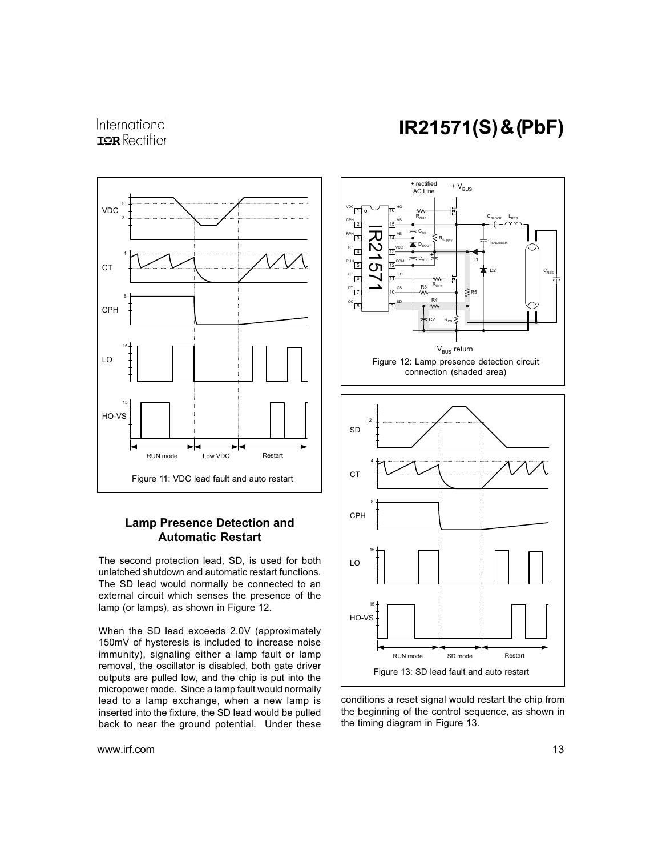### International **ISR** Rectifier



#### Lamp Presence Detection and Automatic Restart

The second protection lead, SD, is used for both unlatched shutdown and automatic restart functions. The SD lead would normally be connected to an external circuit which senses the presence of the lamp (or lamps), as shown in Figure 12.

When the SD lead exceeds 2.0V (approximately 150mV of hysteresis is included to increase noise immunity), signaling either a lamp fault or lamp removal, the oscillator is disabled, both gate driver outputs are pulled low, and the chip is put into the micropower mode. Since a lamp fault would normally lead to a lamp exchange, when a new lamp is inserted into the fixture, the SD lead would be pulled back to near the ground potential. Under these

www.irf.com 13

# IR21571(S) & (PbF)



conditions a reset signal would restart the chip from the beginning of the control sequence, as shown in the timing diagram in Figure 13.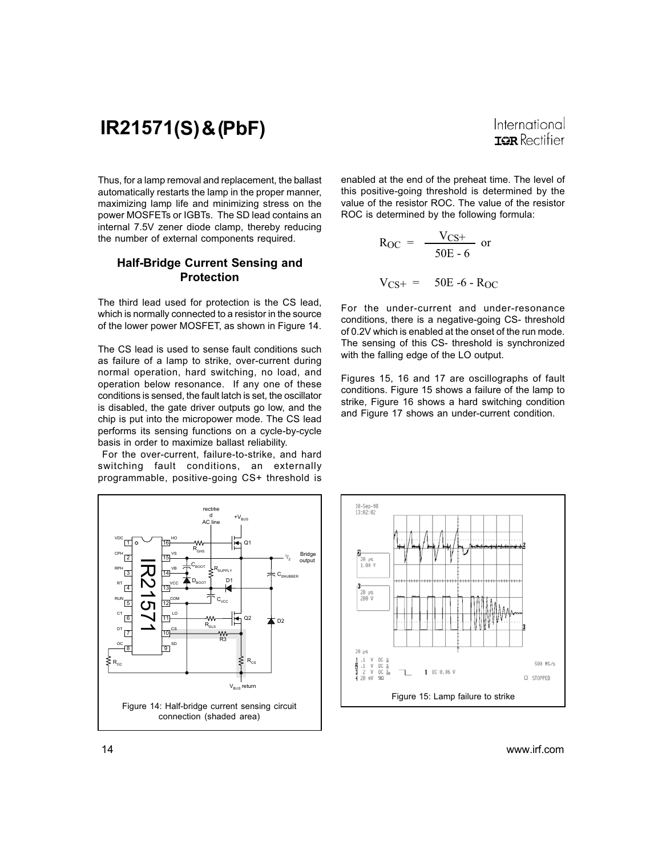International **ISR** Rectifier

Thus, for a lamp removal and replacement, the ballast automatically restarts the lamp in the proper manner, maximizing lamp life and minimizing stress on the power MOSFETs or IGBTs. The SD lead contains an internal 7.5V zener diode clamp, thereby reducing the number of external components required.

#### Half-Bridge Current Sensing and Protection

The third lead used for protection is the CS lead, which is normally connected to a resistor in the source of the lower power MOSFET, as shown in Figure 14.

The CS lead is used to sense fault conditions such as failure of a lamp to strike, over-current during normal operation, hard switching, no load, and operation below resonance. If any one of these conditions is sensed, the fault latch is set, the oscillator is disabled, the gate driver outputs go low, and the chip is put into the micropower mode. The CS lead performs its sensing functions on a cycle-by-cycle basis in order to maximize ballast reliability.

 For the over-current, failure-to-strike, and hard switching fault conditions, an externally programmable, positive-going CS+ threshold is

enabled at the end of the preheat time. The level of this positive-going threshold is determined by the value of the resistor ROC. The value of the resistor ROC is determined by the following formula:

$$
R_{OC} = \frac{V_{CS+}}{50E - 6}
$$
 or  

$$
V_{CS+} = 50E - 6 - R_{OC}
$$

For the under-current and under-resonance conditions, there is a negative-going CS- threshold of 0.2V which is enabled at the onset of the run mode. The sensing of this CS- threshold is synchronized with the falling edge of the LO output.

Figures 15, 16 and 17 are oscillographs of fault conditions. Figure 15 shows a failure of the lamp to strike, Figure 16 shows a hard switching condition and Figure 17 shows an under-current condition.



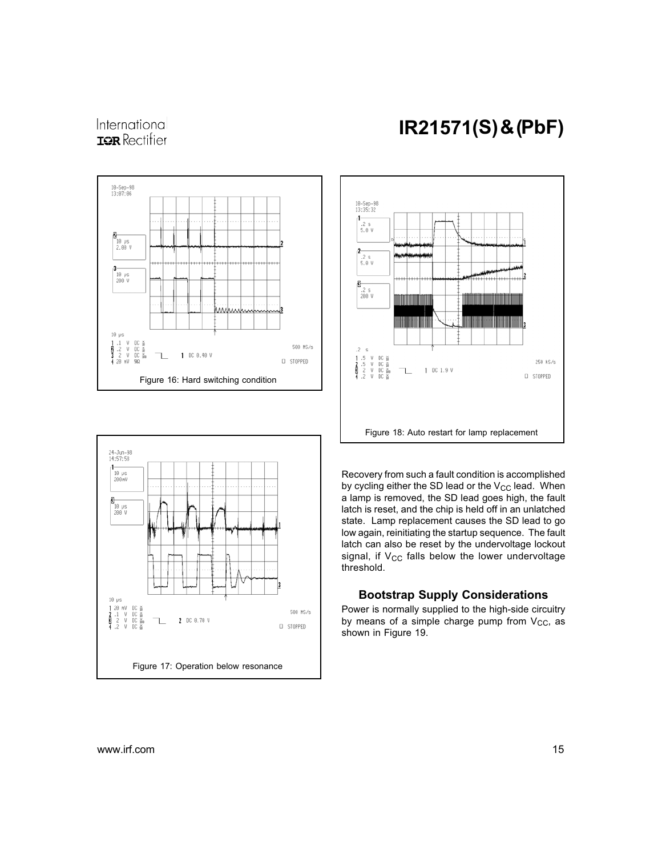### International **ISR** Rectifier





# IR21571(S) & (PbF)



Recovery from such a fault condition is accomplished by cycling either the SD lead or the  $V_{CC}$  lead. When a lamp is removed, the SD lead goes high, the fault latch is reset, and the chip is held off in an unlatched state. Lamp replacement causes the SD lead to go low again, reinitiating the startup sequence. The fault latch can also be reset by the undervoltage lockout signal, if  $V_{CC}$  falls below the lower undervoltage threshold.

#### Bootstrap Supply Considerations

Power is normally supplied to the high-side circuitry by means of a simple charge pump from  $V_{CC}$ , as shown in Figure 19.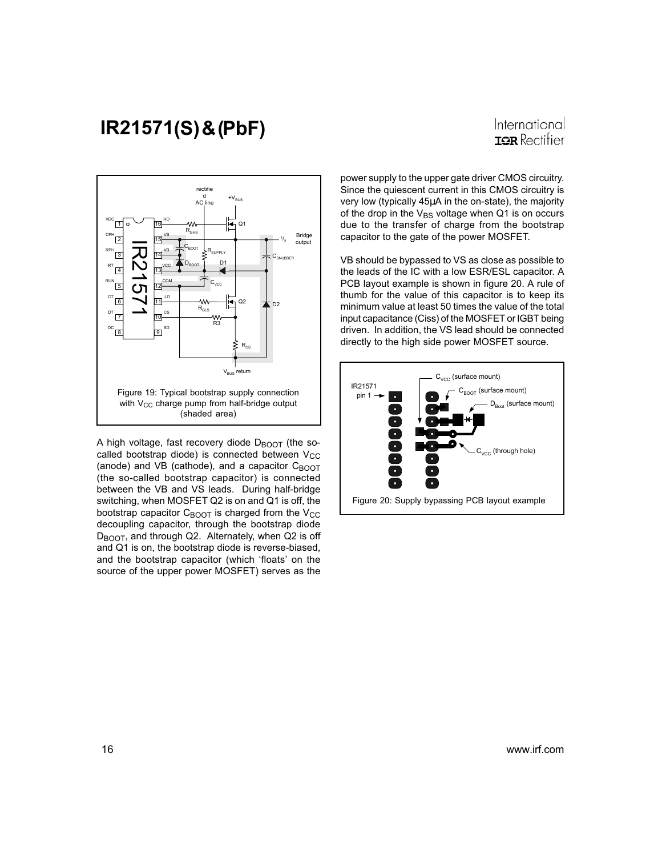International **IOR** Rectifier



A high voltage, fast recovery diode  $D_{\text{BOOT}}$  (the socalled bootstrap diode) is connected between  $V_{CC}$ (anode) and VB (cathode), and a capacitor  $C_{\text{BOOT}}$ (the so-called bootstrap capacitor) is connected between the VB and VS leads. During half-bridge switching, when MOSFET Q2 is on and Q1 is off, the bootstrap capacitor  $C_{\text{BOOT}}$  is charged from the  $V_{\text{CC}}$ decoupling capacitor, through the bootstrap diode DBOOT, and through Q2. Alternately, when Q2 is off and Q1 is on, the bootstrap diode is reverse-biased, and the bootstrap capacitor (which 'floats' on the source of the upper power MOSFET) serves as the power supply to the upper gate driver CMOS circuitry. Since the quiescent current in this CMOS circuitry is very low (typically 45µA in the on-state), the majority of the drop in the  $V_{BS}$  voltage when Q1 is on occurs due to the transfer of charge from the bootstrap capacitor to the gate of the power MOSFET.

VB should be bypassed to VS as close as possible to the leads of the IC with a low ESR/ESL capacitor. A PCB layout example is shown in figure 20. A rule of thumb for the value of this capacitor is to keep its minimum value at least 50 times the value of the total input capacitance (Ciss) of the MOSFET or IGBT being driven. In addition, the VS lead should be connected directly to the high side power MOSFET source.

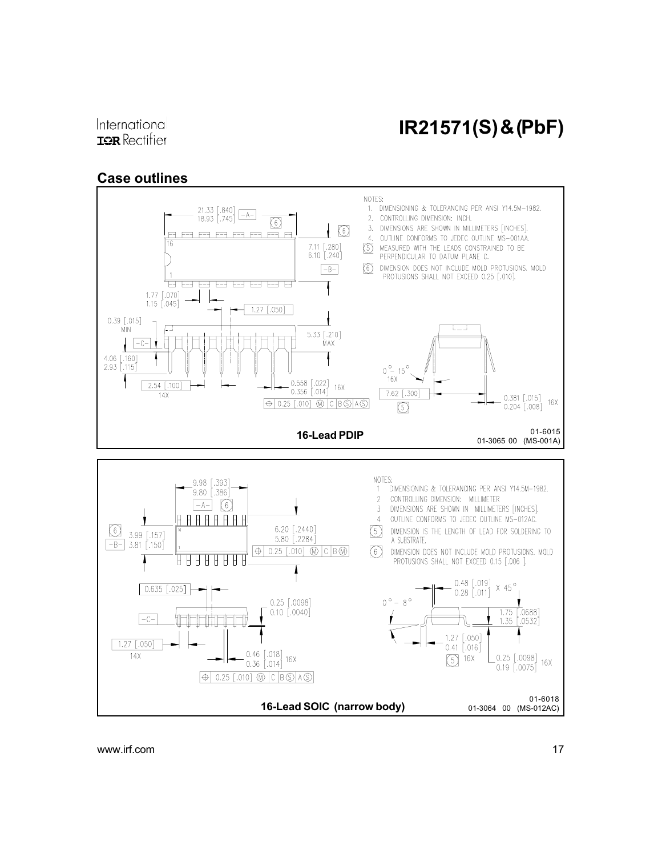### Case outlines